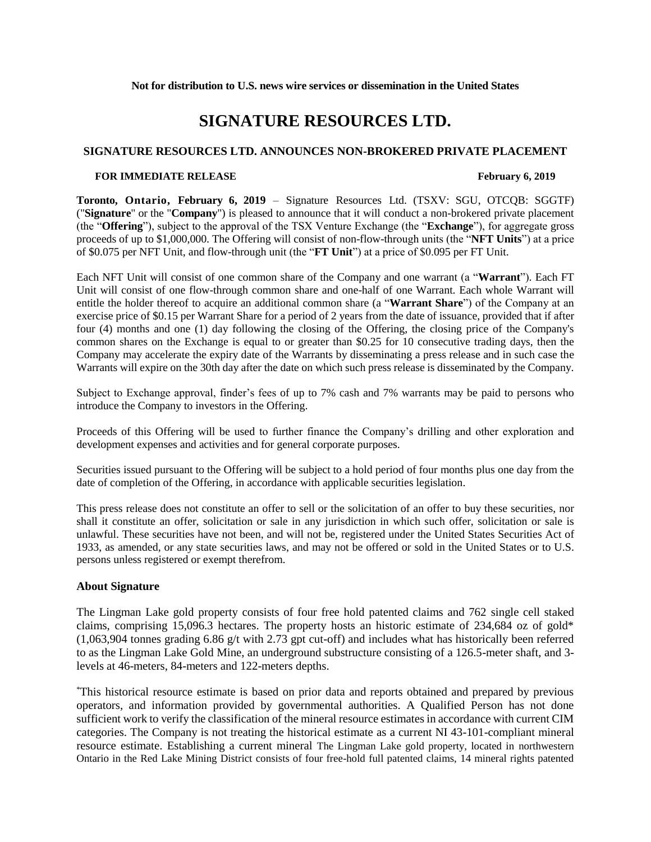# **SIGNATURE RESOURCES LTD.**

## **SIGNATURE RESOURCES LTD. ANNOUNCES NON-BROKERED PRIVATE PLACEMENT**

### **FOR IMMEDIATE RELEASE February 6, 2019**

**Toronto, Ontario, February 6, 2019** – Signature Resources Ltd. (TSXV: SGU, OTCQB: SGGTF) ("**Signature**" or the "**Company**") is pleased to announce that it will conduct a non-brokered private placement (the "**Offering**"), subject to the approval of the TSX Venture Exchange (the "**Exchange**"), for aggregate gross proceeds of up to \$1,000,000. The Offering will consist of non-flow-through units (the "**NFT Units**") at a price of \$0.075 per NFT Unit, and flow-through unit (the "**FT Unit**") at a price of \$0.095 per FT Unit.

Each NFT Unit will consist of one common share of the Company and one warrant (a "**Warrant**"). Each FT Unit will consist of one flow-through common share and one-half of one Warrant. Each whole Warrant will entitle the holder thereof to acquire an additional common share (a "**Warrant Share**") of the Company at an exercise price of \$0.15 per Warrant Share for a period of 2 years from the date of issuance, provided that if after four (4) months and one (1) day following the closing of the Offering, the closing price of the Company's common shares on the Exchange is equal to or greater than \$0.25 for 10 consecutive trading days, then the Company may accelerate the expiry date of the Warrants by disseminating a press release and in such case the Warrants will expire on the 30th day after the date on which such press release is disseminated by the Company.

Subject to Exchange approval, finder's fees of up to 7% cash and 7% warrants may be paid to persons who introduce the Company to investors in the Offering.

Proceeds of this Offering will be used to further finance the Company's drilling and other exploration and development expenses and activities and for general corporate purposes.

Securities issued pursuant to the Offering will be subject to a hold period of four months plus one day from the date of completion of the Offering, in accordance with applicable securities legislation.

This press release does not constitute an offer to sell or the solicitation of an offer to buy these securities, nor shall it constitute an offer, solicitation or sale in any jurisdiction in which such offer, solicitation or sale is unlawful. These securities have not been, and will not be, registered under the United States Securities Act of 1933, as amended, or any state securities laws, and may not be offered or sold in the United States or to U.S. persons unless registered or exempt therefrom.

### **About Signature**

The Lingman Lake gold property consists of four free hold patented claims and 762 single cell staked claims, comprising 15,096.3 hectares. The property hosts an historic estimate of 234,684 oz of gold\* (1,063,904 tonnes grading 6.86 g/t with 2.73 gpt cut-off) and includes what has historically been referred to as the Lingman Lake Gold Mine, an underground substructure consisting of a 126.5-meter shaft, and 3 levels at 46-meters, 84-meters and 122-meters depths.

\*This historical resource estimate is based on prior data and reports obtained and prepared by previous operators, and information provided by governmental authorities. A Qualified Person has not done sufficient work to verify the classification of the mineral resource estimates in accordance with current CIM categories. The Company is not treating the historical estimate as a current NI 43-101-compliant mineral resource estimate. Establishing a current mineral The Lingman Lake gold property, located in northwestern Ontario in the Red Lake Mining District consists of four free-hold full patented claims, 14 mineral rights patented